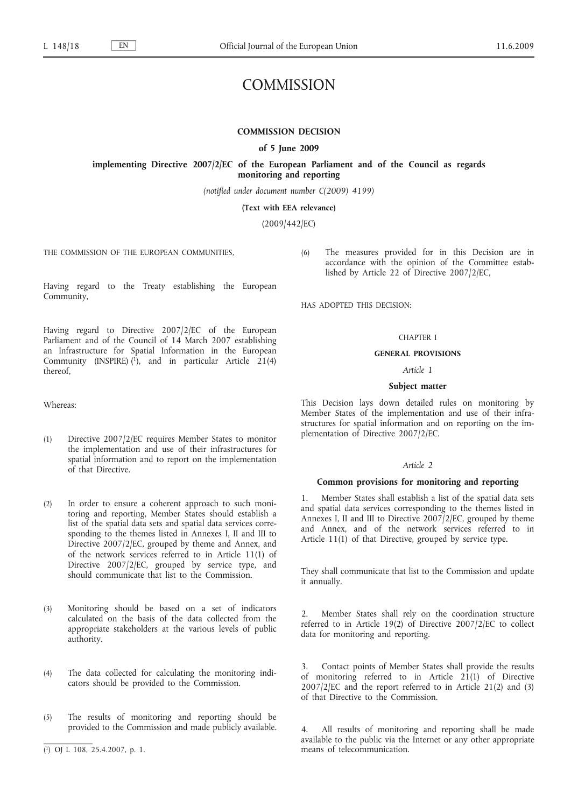# COMMISSION

# **COMMISSION DECISION**

#### **of 5 June 2009**

**implementing Directive 2007/2/EC of the European Parliament and of the Council as regards monitoring and reporting**

*(notified under document number C(2009) 4199)*

**(Text with EEA relevance)**

(2009/442/EC)

THE COMMISSION OF THE EUROPEAN COMMUNITIES,

accordance with the opinion of the Committee established by Article 22 of Directive 2007/2/EC,

HAS ADOPTED THIS DECISION:

## CHAPTER I

(6) The measures provided for in this Decision are in

# **GENERAL PROVISIONS**

# *Article 1*

#### **Subject matter**

This Decision lays down detailed rules on monitoring by Member States of the implementation and use of their infrastructures for spatial information and on reporting on the implementation of Directive 2007/2/EC.

#### *Article 2*

#### **Common provisions for monitoring and reporting**

Member States shall establish a list of the spatial data sets and spatial data services corresponding to the themes listed in Annexes I, II and III to Directive 2007/2/EC, grouped by theme and Annex, and of the network services referred to in Article 11(1) of that Directive, grouped by service type.

They shall communicate that list to the Commission and update it annually.

2. Member States shall rely on the coordination structure referred to in Article 19(2) of Directive 2007/2/EC to collect data for monitoring and reporting.

3. Contact points of Member States shall provide the results of monitoring referred to in Article  $21(1)$  of Directive 2007/2/EC and the report referred to in Article 21(2) and (3) of that Directive to the Commission.

All results of monitoring and reporting shall be made available to the public via the Internet or any other appropriate means of telecommunication.

Having regard to the Treaty establishing the European Community,

Having regard to Directive 2007/2/EC of the European Parliament and of the Council of 14 March 2007 establishing an Infrastructure for Spatial Information in the European Community (INSPIRE)  $(1)$ , and in particular Article 21(4) thereof,

Whereas:

- (1) Directive 2007/2/EC requires Member States to monitor the implementation and use of their infrastructures for spatial information and to report on the implementation of that Directive.
- (2) In order to ensure a coherent approach to such monitoring and reporting, Member States should establish a list of the spatial data sets and spatial data services corresponding to the themes listed in Annexes I, II and III to Directive 2007/2/EC, grouped by theme and Annex, and of the network services referred to in Article 11(1) of Directive 2007/2/EC, grouped by service type, and should communicate that list to the Commission.
- (3) Monitoring should be based on a set of indicators calculated on the basis of the data collected from the appropriate stakeholders at the various levels of public authority.
- (4) The data collected for calculating the monitoring indicators should be provided to the Commission.
- (5) The results of monitoring and reporting should be provided to the Commission and made publicly available.

<sup>(</sup> 1) OJ L 108, 25.4.2007, p. 1.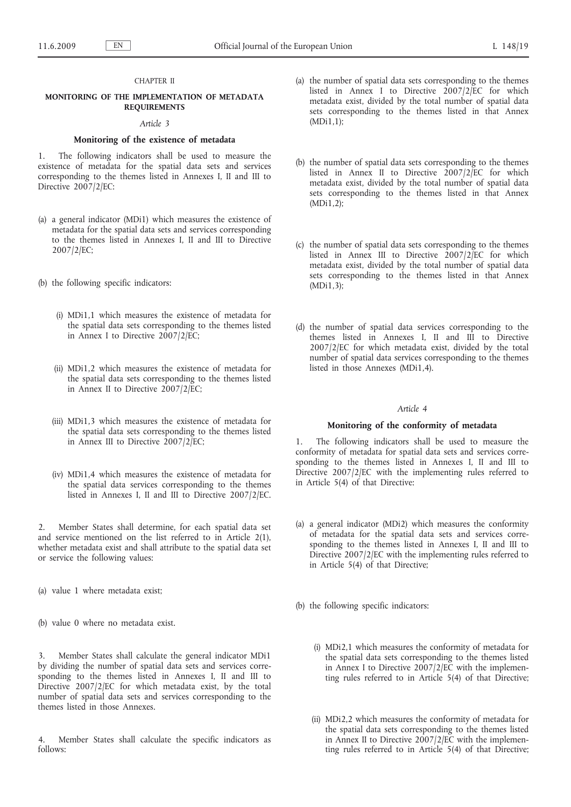# CHAPTER II

# **MONITORING OF THE IMPLEMENTATION OF METADATA REQUIREMENTS**

#### *Article 3*

#### **Monitoring of the existence of metadata**

1. The following indicators shall be used to measure the existence of metadata for the spatial data sets and services corresponding to the themes listed in Annexes I, II and III to Directive 2007/2/EC:

- (a) a general indicator (MDi1) which measures the existence of metadata for the spatial data sets and services corresponding to the themes listed in Annexes I, II and III to Directive 2007/2/EC;
- (b) the following specific indicators:
	- (i) MDi1,1 which measures the existence of metadata for the spatial data sets corresponding to the themes listed in Annex I to Directive 2007/2/EC;
	- (ii) MDi1,2 which measures the existence of metadata for the spatial data sets corresponding to the themes listed in Annex II to Directive 2007/2/EC;
	- (iii) MDi1,3 which measures the existence of metadata for the spatial data sets corresponding to the themes listed in Annex III to Directive 2007/2/EC;
	- (iv) MDi1,4 which measures the existence of metadata for the spatial data services corresponding to the themes listed in Annexes I, II and III to Directive 2007/2/EC.

2. Member States shall determine, for each spatial data set and service mentioned on the list referred to in Article 2(1), whether metadata exist and shall attribute to the spatial data set or service the following values:

- (a) value 1 where metadata exist;
- (b) value 0 where no metadata exist.

Member States shall calculate the general indicator MDi1 by dividing the number of spatial data sets and services corresponding to the themes listed in Annexes I, II and III to Directive 2007/2/EC for which metadata exist, by the total number of spatial data sets and services corresponding to the themes listed in those Annexes.

Member States shall calculate the specific indicators as follows:

- (a) the number of spatial data sets corresponding to the themes listed in Annex I to Directive  $2007/2/EC$  for which metadata exist, divided by the total number of spatial data sets corresponding to the themes listed in that Annex (MDi1,1);
- (b) the number of spatial data sets corresponding to the themes listed in Annex II to Directive 2007/2/EC for which metadata exist, divided by the total number of spatial data sets corresponding to the themes listed in that Annex (MDi1,2);
- (c) the number of spatial data sets corresponding to the themes listed in Annex III to Directive 2007/2/EC for which metadata exist, divided by the total number of spatial data sets corresponding to the themes listed in that Annex (MDi1,3);
- (d) the number of spatial data services corresponding to the themes listed in Annexes I, II and III to Directive 2007/2/EC for which metadata exist, divided by the total number of spatial data services corresponding to the themes listed in those Annexes (MDi1,4).

# *Article 4*

# **Monitoring of the conformity of metadata**

1. The following indicators shall be used to measure the conformity of metadata for spatial data sets and services corresponding to the themes listed in Annexes I, II and III to Directive 2007/2/EC with the implementing rules referred to in Article 5(4) of that Directive:

(a) a general indicator (MDi2) which measures the conformity of metadata for the spatial data sets and services corresponding to the themes listed in Annexes I, II and III to Directive 2007/2/EC with the implementing rules referred to in Article 5(4) of that Directive;

(b) the following specific indicators:

- (i) MDi2,1 which measures the conformity of metadata for the spatial data sets corresponding to the themes listed in Annex I to Directive  $2007/2/EC$  with the implementing rules referred to in Article 5(4) of that Directive;
- (ii) MDi2,2 which measures the conformity of metadata for the spatial data sets corresponding to the themes listed in Annex II to Directive 2007/2/EC with the implementing rules referred to in Article 5(4) of that Directive;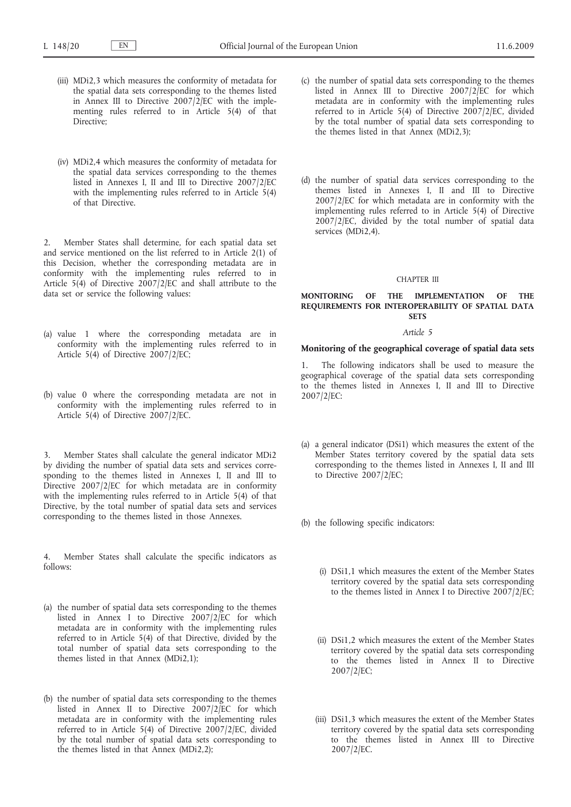- (iii) MDi2,3 which measures the conformity of metadata for the spatial data sets corresponding to the themes listed in Annex III to Directive 2007/2/EC with the implementing rules referred to in Article 5(4) of that Directive;
- (iv) MDi2,4 which measures the conformity of metadata for the spatial data services corresponding to the themes listed in Annexes I, II and III to Directive 2007/2/EC with the implementing rules referred to in Article 5(4) of that Directive.

2. Member States shall determine, for each spatial data set and service mentioned on the list referred to in Article 2(1) of this Decision, whether the corresponding metadata are in conformity with the implementing rules referred to in Article 5(4) of Directive  $2007/2$  [EC and shall attribute to the data set or service the following values:

- (a) value 1 where the corresponding metadata are in conformity with the implementing rules referred to in Article 5(4) of Directive 2007/2/EC;
- (b) value 0 where the corresponding metadata are not in conformity with the implementing rules referred to in Article 5(4) of Directive 2007/2/EC.

Member States shall calculate the general indicator MDi2 by dividing the number of spatial data sets and services corresponding to the themes listed in Annexes I, II and III to Directive 2007/2/EC for which metadata are in conformity with the implementing rules referred to in Article 5(4) of that Directive, by the total number of spatial data sets and services corresponding to the themes listed in those Annexes.

4. Member States shall calculate the specific indicators as follows:

- (a) the number of spatial data sets corresponding to the themes listed in Annex I to Directive 2007/2/EC for which metadata are in conformity with the implementing rules referred to in Article 5(4) of that Directive, divided by the total number of spatial data sets corresponding to the themes listed in that Annex (MDi2,1);
- (b) the number of spatial data sets corresponding to the themes listed in Annex II to Directive 2007/2/EC for which metadata are in conformity with the implementing rules referred to in Article 5(4) of Directive 2007/2/EC, divided by the total number of spatial data sets corresponding to the themes listed in that Annex (MDi2,2);
- (c) the number of spatial data sets corresponding to the themes listed in Annex III to Directive  $2007/2$ /EC for which metadata are in conformity with the implementing rules referred to in Article 5(4) of Directive 2007/2/EC, divided by the total number of spatial data sets corresponding to the themes listed in that Annex (MDi2,3);
- (d) the number of spatial data services corresponding to the themes listed in Annexes I, II and III to Directive 2007/2/EC for which metadata are in conformity with the implementing rules referred to in Article 5(4) of Directive 2007/2/EC, divided by the total number of spatial data services (MDi2,4).

#### CHAPTER III

#### **MONITORING OF THE IMPLEMENTATION OF THE REQUIREMENTS FOR INTEROPERABILITY OF SPATIAL DATA SETS**

#### *Article 5*

#### **Monitoring of the geographical coverage of spatial data sets**

The following indicators shall be used to measure the geographical coverage of the spatial data sets corresponding to the themes listed in Annexes I, II and III to Directive 2007/2/EC:

- (a) a general indicator (DSi1) which measures the extent of the Member States territory covered by the spatial data sets corresponding to the themes listed in Annexes I, II and III to Directive 2007/2/EC;
- (b) the following specific indicators:
	- (i) DSi1,1 which measures the extent of the Member States territory covered by the spatial data sets corresponding to the themes listed in Annex I to Directive 2007/2/EC;
	- (ii) DSi1,2 which measures the extent of the Member States territory covered by the spatial data sets corresponding to the themes listed in Annex II to Directive 2007/2/EC;
	- (iii) DSi1,3 which measures the extent of the Member States territory covered by the spatial data sets corresponding to the themes listed in Annex III to Directive 2007/2/EC.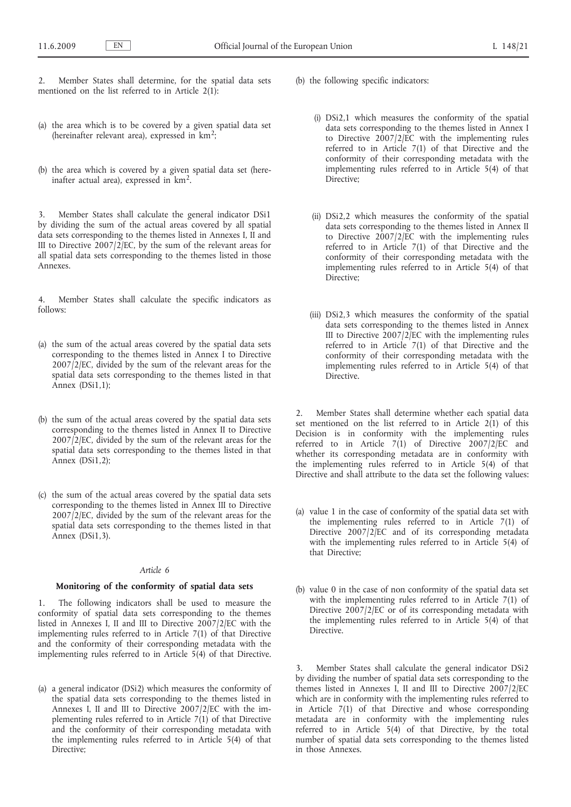2. Member States shall determine, for the spatial data sets mentioned on the list referred to in Article 2(1):

- (a) the area which is to be covered by a given spatial data set (hereinafter relevant area), expressed in km2;
- (b) the area which is covered by a given spatial data set (hereinafter actual area), expressed in km2.

Member States shall calculate the general indicator DSi1 by dividing the sum of the actual areas covered by all spatial data sets corresponding to the themes listed in Annexes I, II and III to Directive 2007/2/EC, by the sum of the relevant areas for all spatial data sets corresponding to the themes listed in those Annexes.

4. Member States shall calculate the specific indicators as follows:

- (a) the sum of the actual areas covered by the spatial data sets corresponding to the themes listed in Annex I to Directive 2007/2/EC, divided by the sum of the relevant areas for the spatial data sets corresponding to the themes listed in that Annex (DSi1,1);
- (b) the sum of the actual areas covered by the spatial data sets corresponding to the themes listed in Annex II to Directive 2007/2/EC, divided by the sum of the relevant areas for the spatial data sets corresponding to the themes listed in that Annex (DSi1,2);
- (c) the sum of the actual areas covered by the spatial data sets corresponding to the themes listed in Annex III to Directive 2007/2/EC, divided by the sum of the relevant areas for the spatial data sets corresponding to the themes listed in that Annex (DSi1,3).

# *Article 6*

# **Monitoring of the conformity of spatial data sets**

1. The following indicators shall be used to measure the conformity of spatial data sets corresponding to the themes listed in Annexes I, II and III to Directive 2007/2/EC with the implementing rules referred to in Article 7(1) of that Directive and the conformity of their corresponding metadata with the implementing rules referred to in Article  $5(4)$  of that Directive.

(a) a general indicator (DSi2) which measures the conformity of the spatial data sets corresponding to the themes listed in Annexes I, II and III to Directive 2007/2/EC with the implementing rules referred to in Article  $7(1)$  of that Directive and the conformity of their corresponding metadata with the implementing rules referred to in Article 5(4) of that Directive;

- (b) the following specific indicators:
	- (i) DSi2,1 which measures the conformity of the spatial data sets corresponding to the themes listed in Annex I to Directive  $2007/2/\overline{EC}$  with the implementing rules referred to in Article 7(1) of that Directive and the conformity of their corresponding metadata with the implementing rules referred to in Article 5(4) of that Directive;
	- (ii) DSi2,2 which measures the conformity of the spatial data sets corresponding to the themes listed in Annex II to Directive  $2007/2/\bar{E}C$  with the implementing rules referred to in Article 7(1) of that Directive and the conformity of their corresponding metadata with the implementing rules referred to in Article 5(4) of that Directive:
	- (iii) DSi2,3 which measures the conformity of the spatial data sets corresponding to the themes listed in Annex III to Directive 2007/2/EC with the implementing rules referred to in Article 7(1) of that Directive and the conformity of their corresponding metadata with the implementing rules referred to in Article 5(4) of that Directive.

Member States shall determine whether each spatial data set mentioned on the list referred to in Article  $2(1)$  of this Decision is in conformity with the implementing rules referred to in Article 7(1) of Directive 2007/2/EC and whether its corresponding metadata are in conformity with the implementing rules referred to in Article 5(4) of that Directive and shall attribute to the data set the following values:

- (a) value 1 in the case of conformity of the spatial data set with the implementing rules referred to in Article 7(1) of Directive 2007/2/EC and of its corresponding metadata with the implementing rules referred to in Article 5(4) of that Directive;
- (b) value 0 in the case of non conformity of the spatial data set with the implementing rules referred to in Article 7(1) of Directive 2007/2/EC or of its corresponding metadata with the implementing rules referred to in Article 5(4) of that Directive.

3. Member States shall calculate the general indicator DSi2 by dividing the number of spatial data sets corresponding to the themes listed in Annexes I, II and III to Directive 2007/2/EC which are in conformity with the implementing rules referred to in Article 7(1) of that Directive and whose corresponding metadata are in conformity with the implementing rules referred to in Article 5(4) of that Directive, by the total number of spatial data sets corresponding to the themes listed in those Annexes.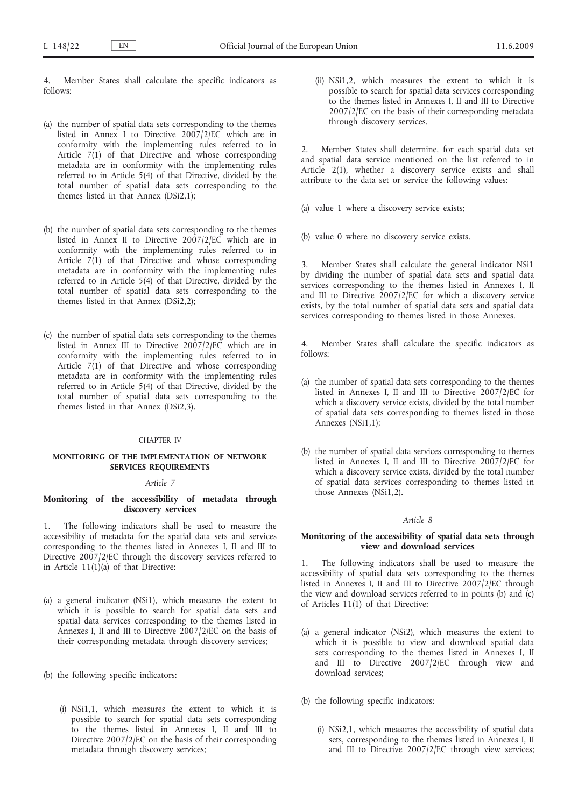4. Member States shall calculate the specific indicators as follows:

- (a) the number of spatial data sets corresponding to the themes listed in Annex I to Directive 2007/2/EC which are in conformity with the implementing rules referred to in Article 7(1) of that Directive and whose corresponding metadata are in conformity with the implementing rules referred to in Article 5(4) of that Directive, divided by the total number of spatial data sets corresponding to the themes listed in that Annex (DSi2,1);
- (b) the number of spatial data sets corresponding to the themes listed in Annex II to Directive 2007/2/EC which are in conformity with the implementing rules referred to in Article 7(1) of that Directive and whose corresponding metadata are in conformity with the implementing rules referred to in Article 5(4) of that Directive, divided by the total number of spatial data sets corresponding to the themes listed in that Annex (DSi2,2);
- (c) the number of spatial data sets corresponding to the themes listed in Annex III to Directive 2007/2/EC which are in conformity with the implementing rules referred to in Article 7(1) of that Directive and whose corresponding metadata are in conformity with the implementing rules referred to in Article 5(4) of that Directive, divided by the total number of spatial data sets corresponding to the themes listed in that Annex (DSi2,3).

#### CHAPTER IV

# **MONITORING OF THE IMPLEMENTATION OF NETWORK SERVICES REQUIREMENTS**

### *Article 7*

# **Monitoring of the accessibility of metadata through discovery services**

1. The following indicators shall be used to measure the accessibility of metadata for the spatial data sets and services corresponding to the themes listed in Annexes I, II and III to Directive 2007/2/EC through the discovery services referred to in Article 11(1)(a) of that Directive:

- (a) a general indicator (NSi1), which measures the extent to which it is possible to search for spatial data sets and spatial data services corresponding to the themes listed in Annexes I, II and III to Directive 2007/2/EC on the basis of their corresponding metadata through discovery services;
- (b) the following specific indicators:
	- (i) NSi1,1, which measures the extent to which it is possible to search for spatial data sets corresponding to the themes listed in Annexes I, II and III to Directive 2007/2/EC on the basis of their corresponding metadata through discovery services;

(ii) NSi1,2, which measures the extent to which it is possible to search for spatial data services corresponding to the themes listed in Annexes I, II and III to Directive 2007/2/EC on the basis of their corresponding metadata through discovery services.

Member States shall determine, for each spatial data set and spatial data service mentioned on the list referred to in Article 2(1), whether a discovery service exists and shall attribute to the data set or service the following values:

(a) value 1 where a discovery service exists;

(b) value 0 where no discovery service exists.

3. Member States shall calculate the general indicator NSi1 by dividing the number of spatial data sets and spatial data services corresponding to the themes listed in Annexes I, II and III to Directive 2007/2/EC for which a discovery service exists, by the total number of spatial data sets and spatial data services corresponding to themes listed in those Annexes.

Member States shall calculate the specific indicators as follows:

- (a) the number of spatial data sets corresponding to the themes listed in Annexes I, II and III to Directive 2007/2/EC for which a discovery service exists, divided by the total number of spatial data sets corresponding to themes listed in those Annexes (NSi1,1);
- (b) the number of spatial data services corresponding to themes listed in Annexes I, II and III to Directive 2007/2/EC for which a discovery service exists, divided by the total number of spatial data services corresponding to themes listed in those Annexes (NSi1,2).

#### *Article 8*

#### **Monitoring of the accessibility of spatial data sets through view and download services**

1. The following indicators shall be used to measure the accessibility of spatial data sets corresponding to the themes listed in Annexes I, II and III to Directive 2007/2/EC through the view and download services referred to in points (b) and (c) of Articles 11(1) of that Directive:

- (a) a general indicator (NSi2), which measures the extent to which it is possible to view and download spatial data sets corresponding to the themes listed in Annexes I, II and III to Directive 2007/2/EC through view and download services;
- (b) the following specific indicators:
	- (i) NSi2,1, which measures the accessibility of spatial data sets, corresponding to the themes listed in Annexes I, II and III to Directive 2007/2/EC through view services;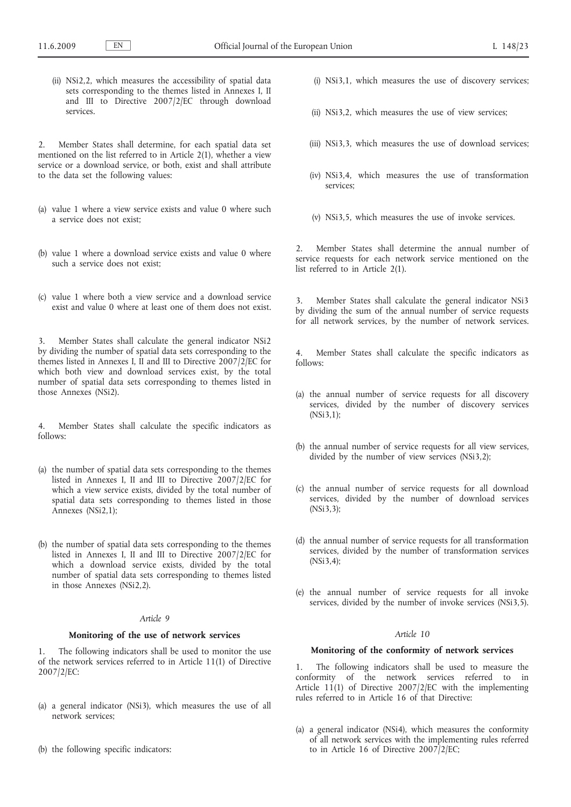(ii) NSi2,2, which measures the accessibility of spatial data sets corresponding to the themes listed in Annexes I, II and III to Directive 2007/2/EC through download services.

2. Member States shall determine, for each spatial data set mentioned on the list referred to in Article 2(1), whether a view service or a download service, or both, exist and shall attribute to the data set the following values:

- (a) value 1 where a view service exists and value 0 where such a service does not exist;
- (b) value 1 where a download service exists and value 0 where such a service does not exist;
- (c) value 1 where both a view service and a download service exist and value 0 where at least one of them does not exist.

Member States shall calculate the general indicator NSi2 by dividing the number of spatial data sets corresponding to the themes listed in Annexes I, II and III to Directive  $2007/2$ /EC for which both view and download services exist, by the total number of spatial data sets corresponding to themes listed in those Annexes (NSi2).

4. Member States shall calculate the specific indicators as follows:

- (a) the number of spatial data sets corresponding to the themes listed in Annexes I, II and III to Directive 2007/2/EC for which a view service exists, divided by the total number of spatial data sets corresponding to themes listed in those Annexes (NSi2,1);
- (b) the number of spatial data sets corresponding to the themes listed in Annexes I, II and III to Directive 2007/2/EC for which a download service exists, divided by the total number of spatial data sets corresponding to themes listed in those Annexes (NSi2,2).

#### *Article 9*

# **Monitoring of the use of network services**

1. The following indicators shall be used to monitor the use of the network services referred to in Article 11(1) of Directive 2007/2/EC:

- (a) a general indicator (NSi3), which measures the use of all network services;
- (b) the following specific indicators:
- (i) NSi3,1, which measures the use of discovery services;
- (ii) NSi3,2, which measures the use of view services;
- (iii) NSi3,3, which measures the use of download services;
- (iv) NSi3,4, which measures the use of transformation services;
- (v) NSi3,5, which measures the use of invoke services.

2. Member States shall determine the annual number of service requests for each network service mentioned on the list referred to in Article 2(1).

Member States shall calculate the general indicator NSi3 by dividing the sum of the annual number of service requests for all network services, by the number of network services.

4. Member States shall calculate the specific indicators as follows:

- (a) the annual number of service requests for all discovery services, divided by the number of discovery services (NSi3,1);
- (b) the annual number of service requests for all view services, divided by the number of view services (NSi3,2);
- (c) the annual number of service requests for all download services, divided by the number of download services (NSi3,3);
- (d) the annual number of service requests for all transformation services, divided by the number of transformation services (NSi3,4);
- (e) the annual number of service requests for all invoke services, divided by the number of invoke services (NSi3,5).

## *Article 10*

# **Monitoring of the conformity of network services**

The following indicators shall be used to measure the conformity of the network services referred to in Article 11(1) of Directive 2007/2/EC with the implementing rules referred to in Article 16 of that Directive:

(a) a general indicator (NSi4), which measures the conformity of all network services with the implementing rules referred to in Article 16 of Directive 2007/2/EC;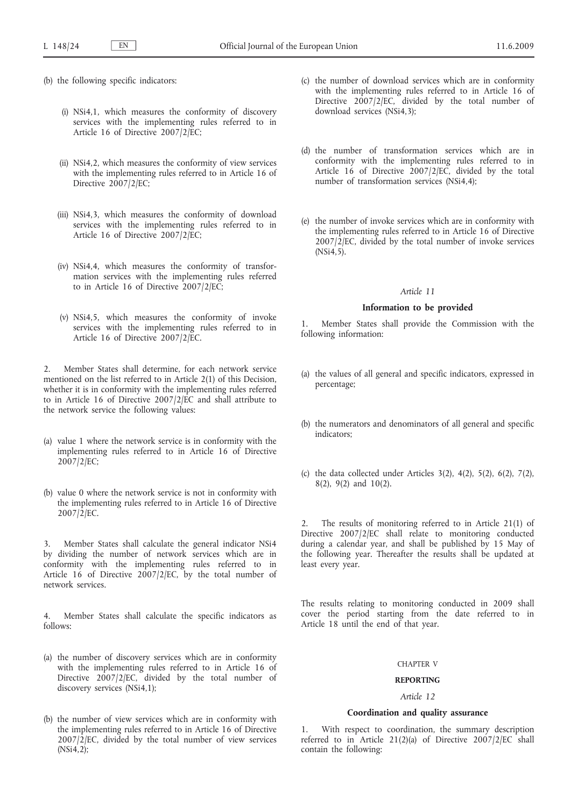- (b) the following specific indicators:
	- (i) NSi4,1, which measures the conformity of discovery services with the implementing rules referred to in Article 16 of Directive 2007/2/EC;
	- (ii) NSi4,2, which measures the conformity of view services with the implementing rules referred to in Article 16 of Directive 2007/2/EC;
	- (iii) NSi4,3, which measures the conformity of download services with the implementing rules referred to in Article 16 of Directive 2007/2/EC;
	- (iv) NSi4,4, which measures the conformity of transformation services with the implementing rules referred to in Article 16 of Directive 2007/2/EC;
	- (v) NSi4,5, which measures the conformity of invoke services with the implementing rules referred to in Article 16 of Directive 2007/2/EC.

2. Member States shall determine, for each network service mentioned on the list referred to in Article 2(1) of this Decision, whether it is in conformity with the implementing rules referred to in Article 16 of Directive 2007/2/EC and shall attribute to the network service the following values:

- (a) value 1 where the network service is in conformity with the implementing rules referred to in Article 16 of Directive 2007/2/EC;
- (b) value 0 where the network service is not in conformity with the implementing rules referred to in Article 16 of Directive 2007/2/EC.

3. Member States shall calculate the general indicator NSi4 by dividing the number of network services which are in conformity with the implementing rules referred to in Article 16 of Directive 2007/2/EC, by the total number of network services.

4. Member States shall calculate the specific indicators as follows:

- (a) the number of discovery services which are in conformity with the implementing rules referred to in Article 16 of Directive 2007/2/EC, divided by the total number of discovery services (NSi4,1);
- (b) the number of view services which are in conformity with the implementing rules referred to in Article 16 of Directive  $2007/\overline{2}/EC$ , divided by the total number of view services (NSi4,2);
- (c) the number of download services which are in conformity with the implementing rules referred to in Article 16 of Directive  $2007/2/EC$ , divided by the total number of download services (NSi4,3);
- (d) the number of transformation services which are in conformity with the implementing rules referred to in Article 16 of Directive 2007/2/EC, divided by the total number of transformation services (NSi4,4);
- (e) the number of invoke services which are in conformity with the implementing rules referred to in Article 16 of Directive  $2007/\overline{2}/EC$ , divided by the total number of invoke services (NSi4,5).

# *Article 11*

#### **Information to be provided**

1. Member States shall provide the Commission with the following information:

- (a) the values of all general and specific indicators, expressed in percentage;
- (b) the numerators and denominators of all general and specific indicators;
- (c) the data collected under Articles 3(2), 4(2), 5(2), 6(2), 7(2), 8(2), 9(2) and 10(2).

2. The results of monitoring referred to in Article 21(1) of Directive 2007/2/EC shall relate to monitoring conducted during a calendar year, and shall be published by 15 May of the following year. Thereafter the results shall be updated at least every year.

The results relating to monitoring conducted in 2009 shall cover the period starting from the date referred to in Article 18 until the end of that year.

#### CHAPTER V

# **REPORTING** *Article 12*

# **Coordination and quality assurance**

1. With respect to coordination, the summary description referred to in Article 21(2)(a) of Directive 2007/2/EC shall contain the following: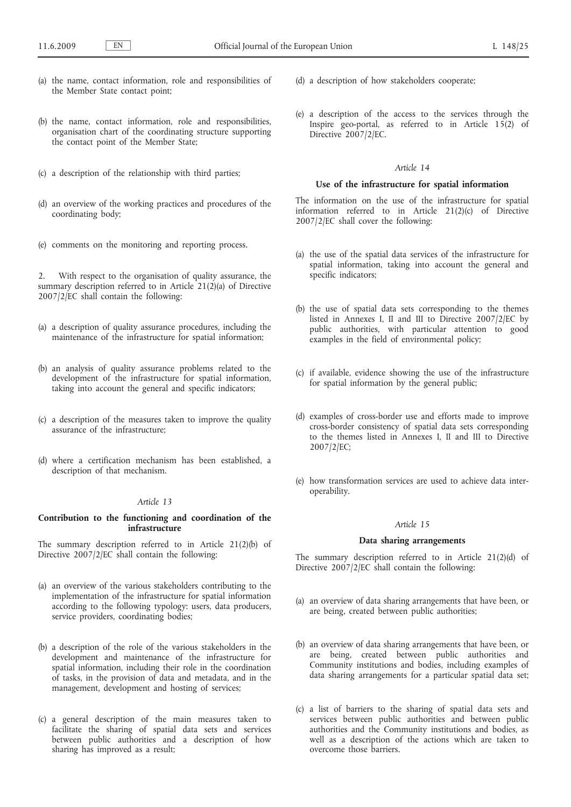- (a) the name, contact information, role and responsibilities of the Member State contact point;
- (b) the name, contact information, role and responsibilities, organisation chart of the coordinating structure supporting the contact point of the Member State;
- (c) a description of the relationship with third parties;
- (d) an overview of the working practices and procedures of the coordinating body;
- (e) comments on the monitoring and reporting process.

2. With respect to the organisation of quality assurance, the summary description referred to in Article  $21(2)(a)$  of Directive 2007/2/EC shall contain the following:

- (a) a description of quality assurance procedures, including the maintenance of the infrastructure for spatial information;
- (b) an analysis of quality assurance problems related to the development of the infrastructure for spatial information, taking into account the general and specific indicators;
- (c) a description of the measures taken to improve the quality assurance of the infrastructure;
- (d) where a certification mechanism has been established, a description of that mechanism.

# *Article 13*

# **Contribution to the functioning and coordination of the infrastructure**

The summary description referred to in Article 21(2)(b) of Directive  $2007/2$ /EC shall contain the following:

- (a) an overview of the various stakeholders contributing to the implementation of the infrastructure for spatial information according to the following typology: users, data producers, service providers, coordinating bodies;
- (b) a description of the role of the various stakeholders in the development and maintenance of the infrastructure for spatial information, including their role in the coordination of tasks, in the provision of data and metadata, and in the management, development and hosting of services;
- (c) a general description of the main measures taken to facilitate the sharing of spatial data sets and services between public authorities and a description of how sharing has improved as a result;
- (d) a description of how stakeholders cooperate;
- (e) a description of the access to the services through the Inspire geo-portal, as referred to in Article 15(2) of Directive 2007/2/EC.

# *Article 14*

#### **Use of the infrastructure for spatial information**

The information on the use of the infrastructure for spatial information referred to in Article 21(2)(c) of Directive 2007/2/EC shall cover the following:

- (a) the use of the spatial data services of the infrastructure for spatial information, taking into account the general and specific indicators;
- (b) the use of spatial data sets corresponding to the themes listed in Annexes I, II and III to Directive 2007/2/EC by public authorities, with particular attention to good examples in the field of environmental policy;
- (c) if available, evidence showing the use of the infrastructure for spatial information by the general public;
- (d) examples of cross-border use and efforts made to improve cross-border consistency of spatial data sets corresponding to the themes listed in Annexes I, II and III to Directive 2007/2/EC;
- (e) how transformation services are used to achieve data interoperability.

## *Article 15*

#### **Data sharing arrangements**

The summary description referred to in Article 21(2)(d) of Directive 2007/2/EC shall contain the following:

- (a) an overview of data sharing arrangements that have been, or are being, created between public authorities;
- (b) an overview of data sharing arrangements that have been, or are being, created between public authorities and Community institutions and bodies, including examples of data sharing arrangements for a particular spatial data set;
- (c) a list of barriers to the sharing of spatial data sets and services between public authorities and between public authorities and the Community institutions and bodies, as well as a description of the actions which are taken to overcome those barriers.